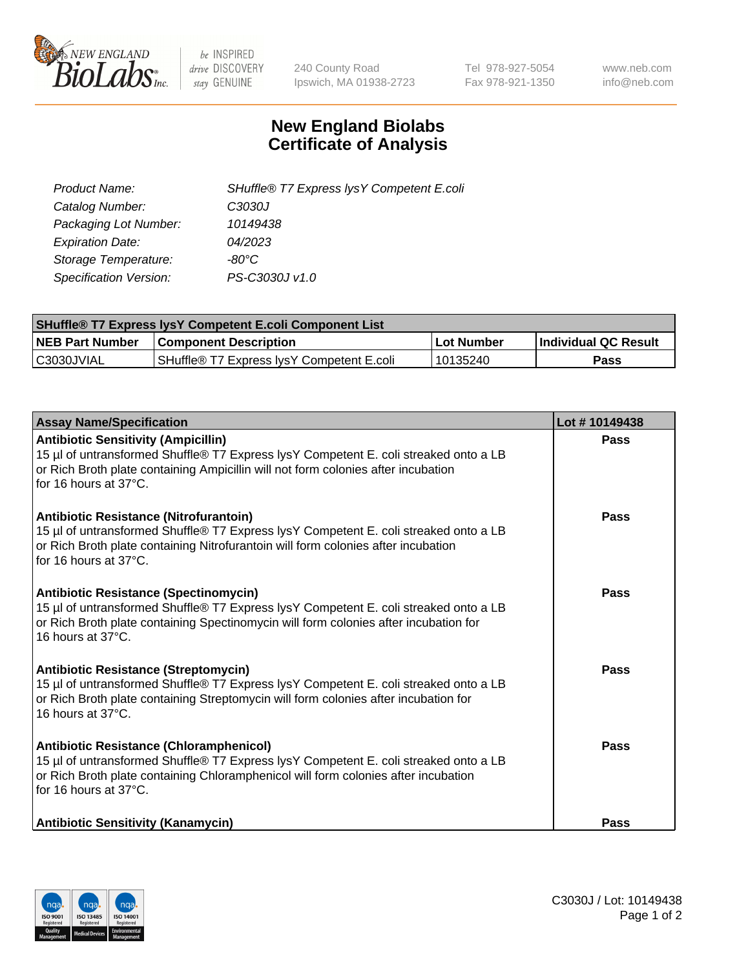

 $be$  INSPIRED drive DISCOVERY stay GENUINE

240 County Road Ipswich, MA 01938-2723 Tel 978-927-5054 Fax 978-921-1350 www.neb.com info@neb.com

## **New England Biolabs Certificate of Analysis**

| Product Name:                 | SHuffle® T7 Express lysY Competent E.coli |
|-------------------------------|-------------------------------------------|
| Catalog Number:               | C3030J                                    |
| Packaging Lot Number:         | 10149438                                  |
| <b>Expiration Date:</b>       | 04/2023                                   |
| Storage Temperature:          | $-80^{\circ}$ C                           |
| <b>Specification Version:</b> | PS-C3030J v1.0                            |

| <b>SHuffle® T7 Express lysY Competent E.coli Component List</b> |                                           |                   |                             |  |
|-----------------------------------------------------------------|-------------------------------------------|-------------------|-----------------------------|--|
| <b>NEB Part Number</b>                                          | <b>Component Description</b>              | <b>Lot Number</b> | <b>Individual QC Result</b> |  |
| C3030JVIAL                                                      | SHuffle® T7 Express IysY Competent E.coli | 10135240          | Pass                        |  |

| <b>Assay Name/Specification</b>                                                                                                                                                                                                                   | Lot #10149438 |
|---------------------------------------------------------------------------------------------------------------------------------------------------------------------------------------------------------------------------------------------------|---------------|
| <b>Antibiotic Sensitivity (Ampicillin)</b><br>15 µl of untransformed Shuffle® T7 Express lysY Competent E. coli streaked onto a LB<br>or Rich Broth plate containing Ampicillin will not form colonies after incubation<br>for 16 hours at 37°C.  | Pass          |
| Antibiotic Resistance (Nitrofurantoin)<br>15 µl of untransformed Shuffle® T7 Express lysY Competent E. coli streaked onto a LB<br>or Rich Broth plate containing Nitrofurantoin will form colonies after incubation<br>for 16 hours at 37°C.      | Pass          |
| <b>Antibiotic Resistance (Spectinomycin)</b><br>15 µl of untransformed Shuffle® T7 Express lysY Competent E. coli streaked onto a LB<br>or Rich Broth plate containing Spectinomycin will form colonies after incubation for<br>16 hours at 37°C. | Pass          |
| <b>Antibiotic Resistance (Streptomycin)</b><br>15 µl of untransformed Shuffle® T7 Express lysY Competent E. coli streaked onto a LB<br>or Rich Broth plate containing Streptomycin will form colonies after incubation for<br>16 hours at 37°C.   | Pass          |
| Antibiotic Resistance (Chloramphenicol)<br>15 µl of untransformed Shuffle® T7 Express lysY Competent E. coli streaked onto a LB<br>or Rich Broth plate containing Chloramphenicol will form colonies after incubation<br>for 16 hours at 37°C.    | Pass          |
| <b>Antibiotic Sensitivity (Kanamycin)</b>                                                                                                                                                                                                         | Pass          |